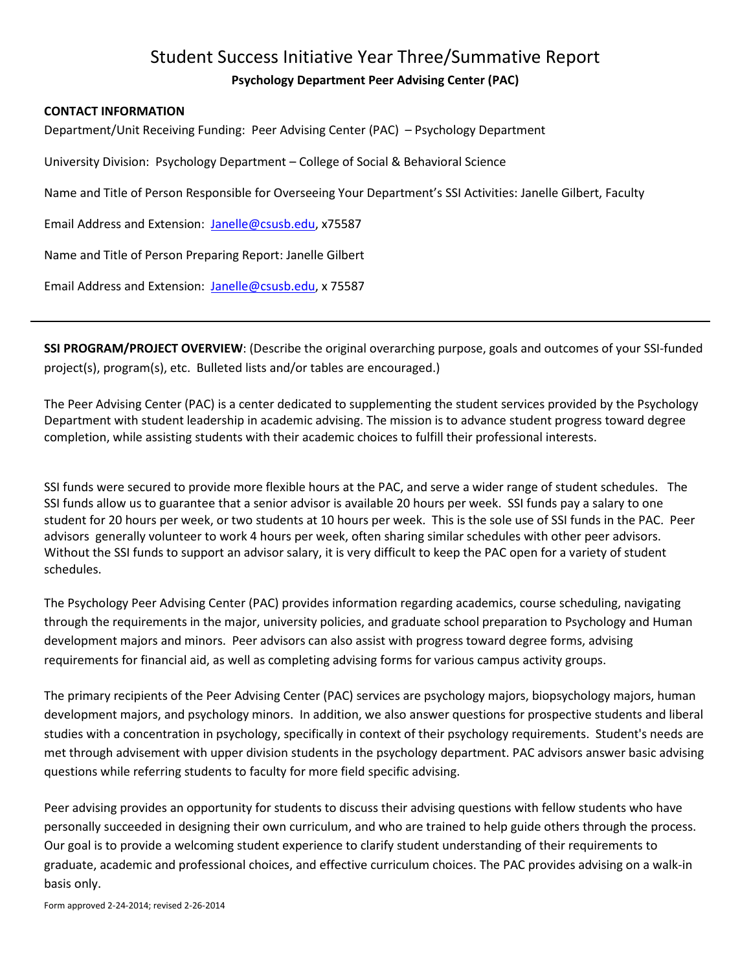## Student Success Initiative Year Three/Summative Report **Psychology Department Peer Advising Center (PAC)**

## **CONTACT INFORMATION**

Department/Unit Receiving Funding: Peer Advising Center (PAC) – Psychology Department

University Division: Psychology Department – College of Social & Behavioral Science

Name and Title of Person Responsible for Overseeing Your Department's SSI Activities: Janelle Gilbert, Faculty

Email Address and Extension: [Janelle@csusb.edu,](mailto:Janelle@csusb.edu) x75587

Name and Title of Person Preparing Report: Janelle Gilbert

Email Address and Extension: [Janelle@csusb.edu,](mailto:Janelle@csusb.edu) x 75587

**SSI PROGRAM/PROJECT OVERVIEW**: (Describe the original overarching purpose, goals and outcomes of your SSI-funded project(s), program(s), etc. Bulleted lists and/or tables are encouraged.)

The Peer Advising Center (PAC) is a center dedicated to supplementing the student services provided by the Psychology Department with student leadership in academic advising. The mission is to advance student progress toward degree completion, while assisting students with their academic choices to fulfill their professional interests.

SSI funds were secured to provide more flexible hours at the PAC, and serve a wider range of student schedules. The SSI funds allow us to guarantee that a senior advisor is available 20 hours per week. SSI funds pay a salary to one student for 20 hours per week, or two students at 10 hours per week. This is the sole use of SSI funds in the PAC. Peer advisors generally volunteer to work 4 hours per week, often sharing similar schedules with other peer advisors. Without the SSI funds to support an advisor salary, it is very difficult to keep the PAC open for a variety of student schedules.

The Psychology Peer Advising Center (PAC) provides information regarding academics, course scheduling, navigating through the requirements in the major, university policies, and graduate school preparation to Psychology and Human development majors and minors. Peer advisors can also assist with progress toward degree forms, advising requirements for financial aid, as well as completing advising forms for various campus activity groups.

The primary recipients of the Peer Advising Center (PAC) services are psychology majors, biopsychology majors, human development majors, and psychology minors. In addition, we also answer questions for prospective students and liberal studies with a concentration in psychology, specifically in context of their psychology requirements. Student's needs are met through advisement with upper division students in the psychology department. PAC advisors answer basic advising questions while referring students to faculty for more field specific advising.

Peer advising provides an opportunity for students to discuss their advising questions with fellow students who have personally succeeded in designing their own curriculum, and who are trained to help guide others through the process. Our goal is to provide a welcoming student experience to clarify student understanding of their requirements to graduate, academic and professional choices, and effective curriculum choices. The PAC provides advising on a walk-in basis only.

Form approved 2-24-2014; revised 2-26-2014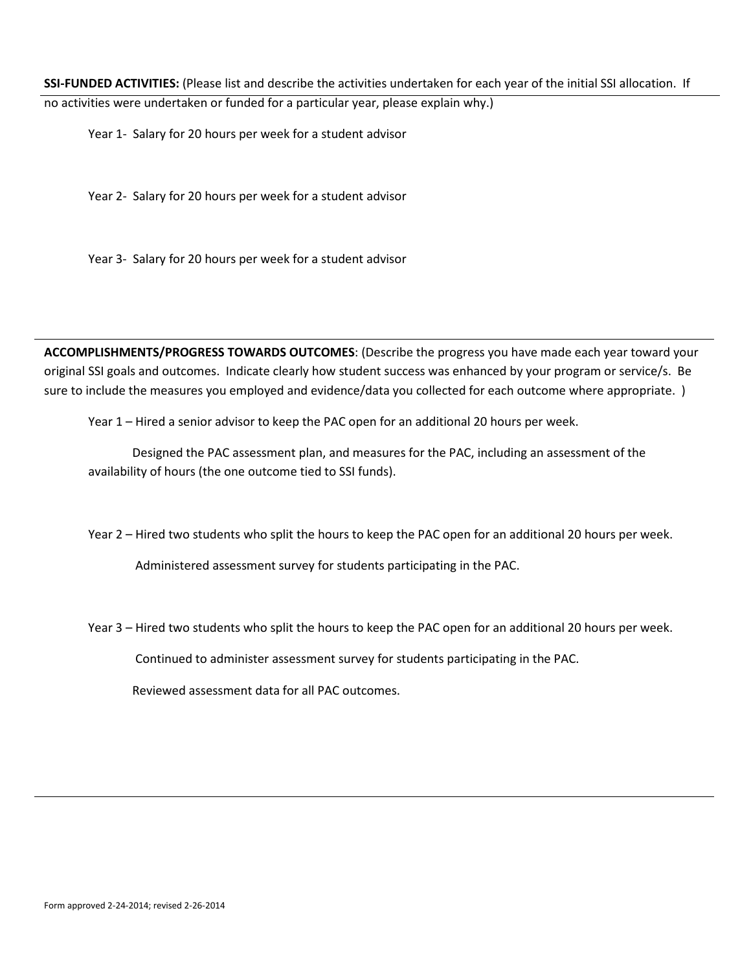**SSI-FUNDED ACTIVITIES:** (Please list and describe the activities undertaken for each year of the initial SSI allocation. If

no activities were undertaken or funded for a particular year, please explain why.)

Year 1- Salary for 20 hours per week for a student advisor

Year 2- Salary for 20 hours per week for a student advisor

Year 3- Salary for 20 hours per week for a student advisor

**ACCOMPLISHMENTS/PROGRESS TOWARDS OUTCOMES**: (Describe the progress you have made each year toward your original SSI goals and outcomes. Indicate clearly how student success was enhanced by your program or service/s. Be sure to include the measures you employed and evidence/data you collected for each outcome where appropriate. )

Year 1 – Hired a senior advisor to keep the PAC open for an additional 20 hours per week.

Designed the PAC assessment plan, and measures for the PAC, including an assessment of the availability of hours (the one outcome tied to SSI funds).

Year 2 – Hired two students who split the hours to keep the PAC open for an additional 20 hours per week.

Administered assessment survey for students participating in the PAC.

Year 3 – Hired two students who split the hours to keep the PAC open for an additional 20 hours per week.

Continued to administer assessment survey for students participating in the PAC.

Reviewed assessment data for all PAC outcomes.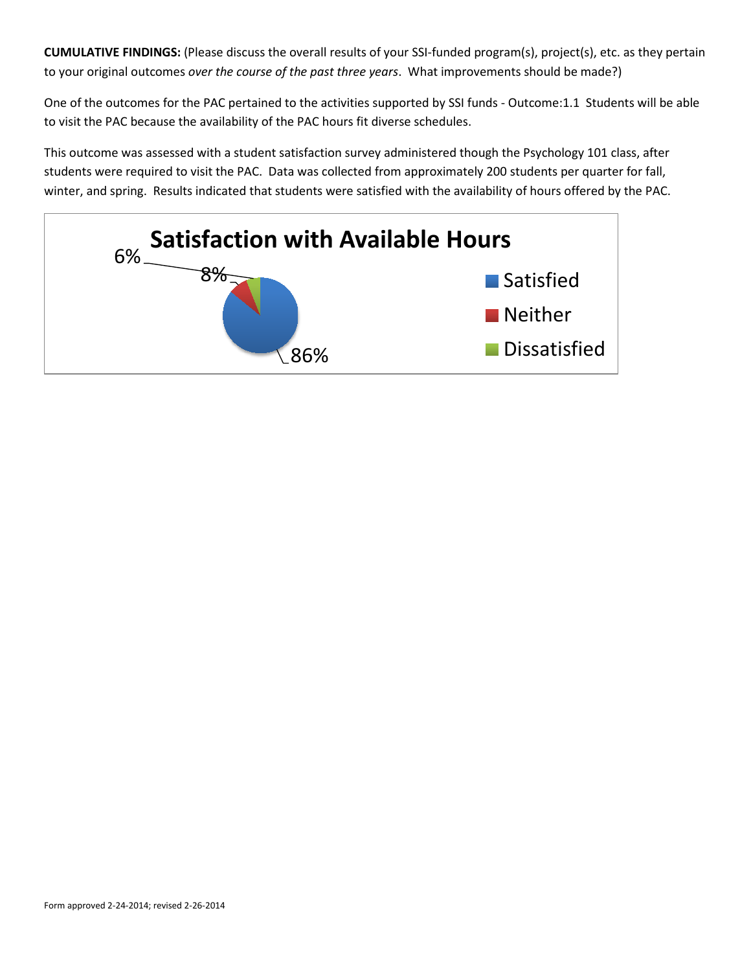**CUMULATIVE FINDINGS:** (Please discuss the overall results of your SSI-funded program(s), project(s), etc. as they pertain to your original outcomes *over the course of the past three years*. What improvements should be made?)

One of the outcomes for the PAC pertained to the activities supported by SSI funds - Outcome:1.1 Students will be able to visit the PAC because the availability of the PAC hours fit diverse schedules.

This outcome was assessed with a student satisfaction survey administered though the Psychology 101 class, after students were required to visit the PAC. Data was collected from approximately 200 students per quarter for fall, winter, and spring. Results indicated that students were satisfied with the availability of hours offered by the PAC.

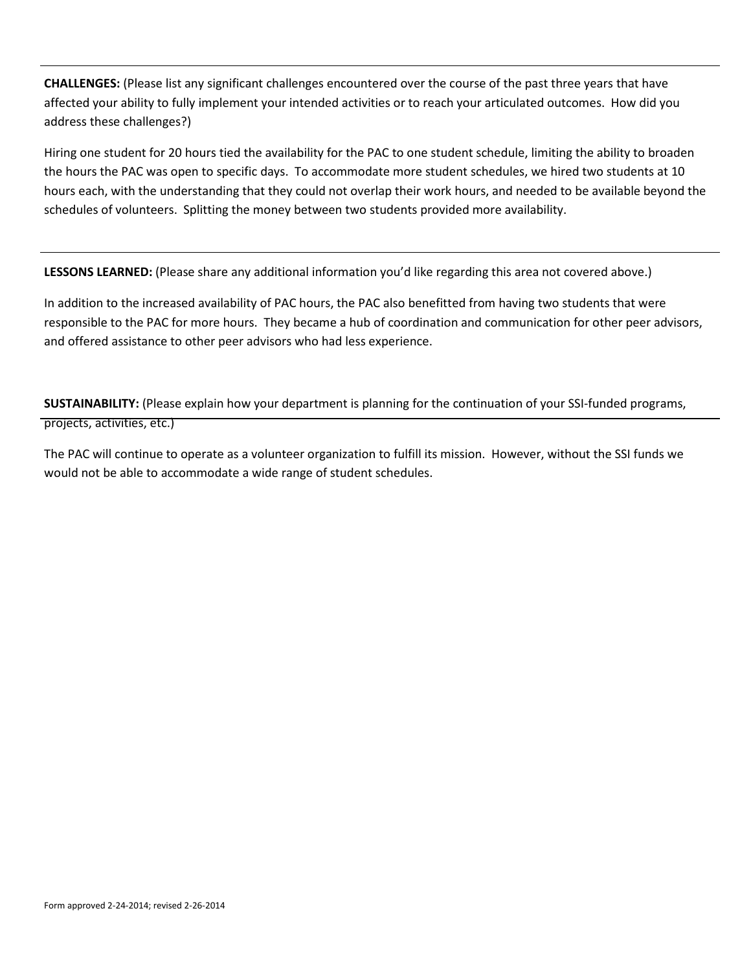**CHALLENGES:** (Please list any significant challenges encountered over the course of the past three years that have affected your ability to fully implement your intended activities or to reach your articulated outcomes. How did you address these challenges?)

Hiring one student for 20 hours tied the availability for the PAC to one student schedule, limiting the ability to broaden the hours the PAC was open to specific days. To accommodate more student schedules, we hired two students at 10 hours each, with the understanding that they could not overlap their work hours, and needed to be available beyond the schedules of volunteers. Splitting the money between two students provided more availability.

**LESSONS LEARNED:** (Please share any additional information you'd like regarding this area not covered above.)

In addition to the increased availability of PAC hours, the PAC also benefitted from having two students that were responsible to the PAC for more hours. They became a hub of coordination and communication for other peer advisors, and offered assistance to other peer advisors who had less experience.

**SUSTAINABILITY:** (Please explain how your department is planning for the continuation of your SSI-funded programs, projects, activities, etc.)

The PAC will continue to operate as a volunteer organization to fulfill its mission. However, without the SSI funds we would not be able to accommodate a wide range of student schedules.